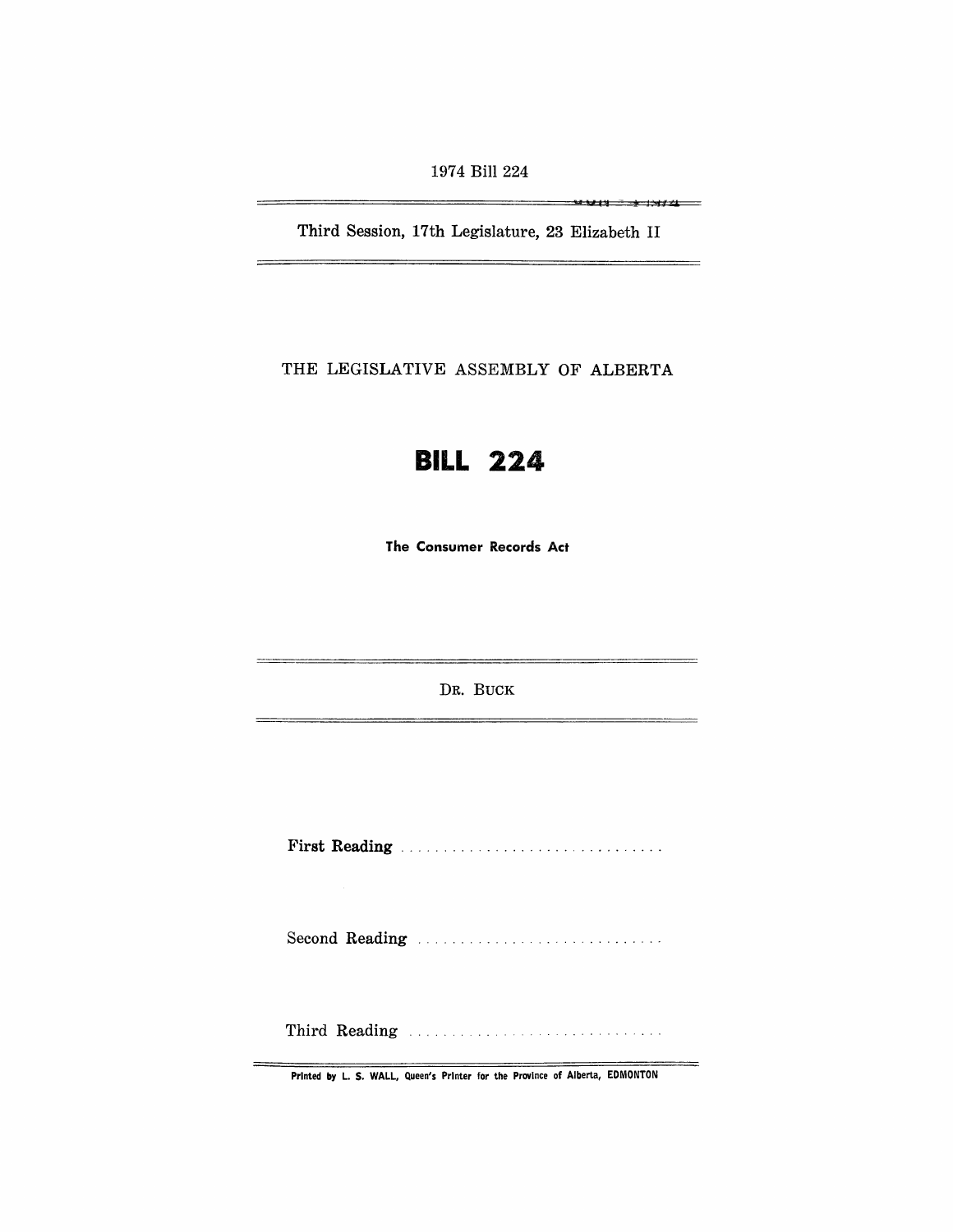1974 Bill 224

Third Session, 17th Legislature, 23 Elizabeth II

.... U I" -t <sup>I</sup>;~r·1

THE LEGISLATIVE ASSEMBLY OF ALBERTA



The Consumer Records Act

DR. BUCK

First Reading . . . . . . . . . . . . . . . . . . . . . . ........ .

Second Reading ............................ .

Third Reading ............ .

Printed by L. S. WALL, Queen's Printer for the Province of Alberta, EDMONTON

 $=$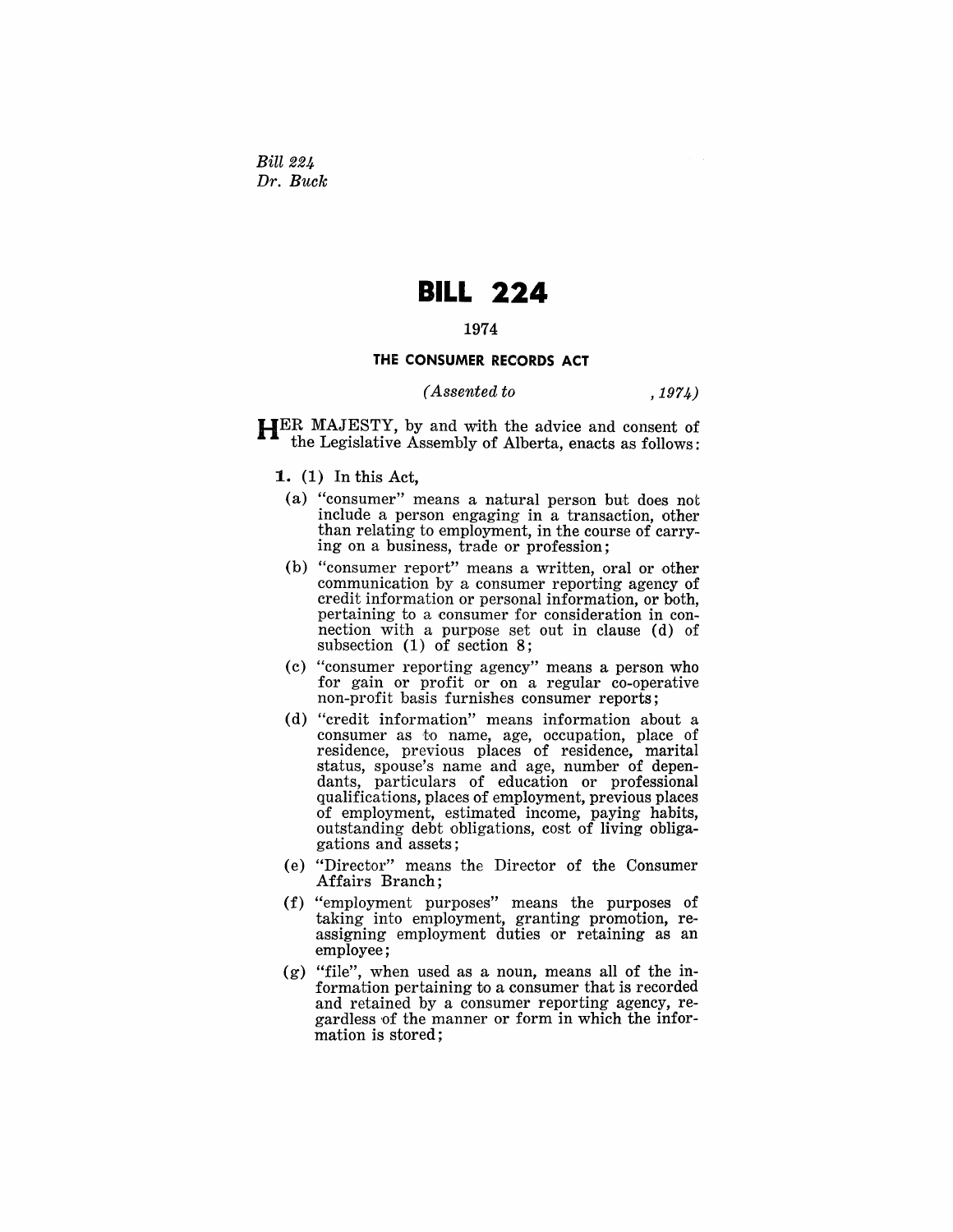Bill 224 *Dr. Buck* 

# **BILL 224**

## 1974

## **THE CONSUMER RECORDS ACT**

### *( Assented to* ,1974)

HER MAJESTY, by and with the advice and consent of the Legislative Assembly of Alberta, enacts as follows:

- 1. (1) In this Act,
	- (a) "consumer" means a natural person but does not include a person engaging in  $a$  transaction, other than relating to employment, in the course of carrying on a business, trade or profession;
	- (b) "consumer report" means a written, oral or other communication by a consumer reporting agency of credit information or personal information, or both, pertaining to a consumer for consideration in connection with a purpose set out in clause (d) of subsection (1) of section 8;
	- (c) "consumer reporting agency" means a person who for gain or profit or on a regular co-operative non-profit basis furnishes consumer reports;
	- (d) "credit information" means information about a consumer as to name, age, occupation, place of residence, previous places of residence, marital status, spouse's name and age, number of dependants, particulars of education or professional qualifications, places of employment, previous places of employment, estimated income, paying habits, outstanding debt obligations, cost of living obligagations and assets;
- (e) "Director" means the Director of the Consumer Affairs Branch;
- (f) "employment purposes" means the purposes of taking into employment, granting promotion, reassigning employment duties or retaining as an employee;
- (g) "file", when used as a noun, means all of the information pertaining to a consumer that is recorded and retained by a consumer reporting agency, regardless of the manner or form in which the information is stored;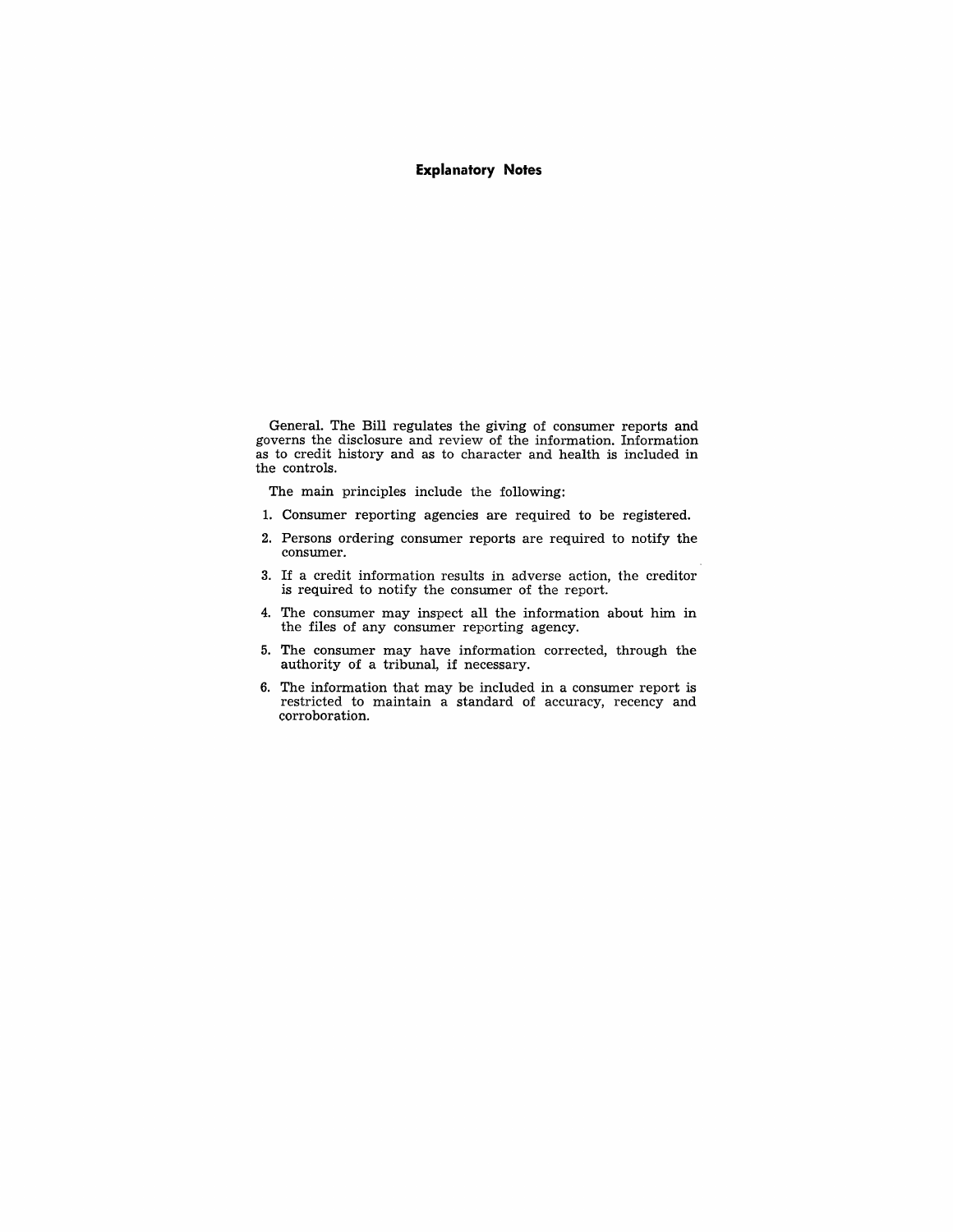#### **Explanatory Notes**

General. The Bill regulates the giving of consumer reports and governs the disclosure and review of the information. Information as to credit history and as to character and health is included in the controls.

The main principles include the following:

- 1. Consumer reporting agencies are required to be registered.
- 2. Persons ordering consumer reports are required to notify the consumer.
- 3. If a credit information results in adverse action, the creditor is required to notify the consumer of the report.
- 4. The consumer may inspect all the information about him in the files of any consumer reporting agency.
- 5. The consumer may have information corrected, through the authority of a tribunal, if necessary.
- 6. The information that may be included in a consumer report is restricted to maintain a standard of accuracy, recency and corroboration.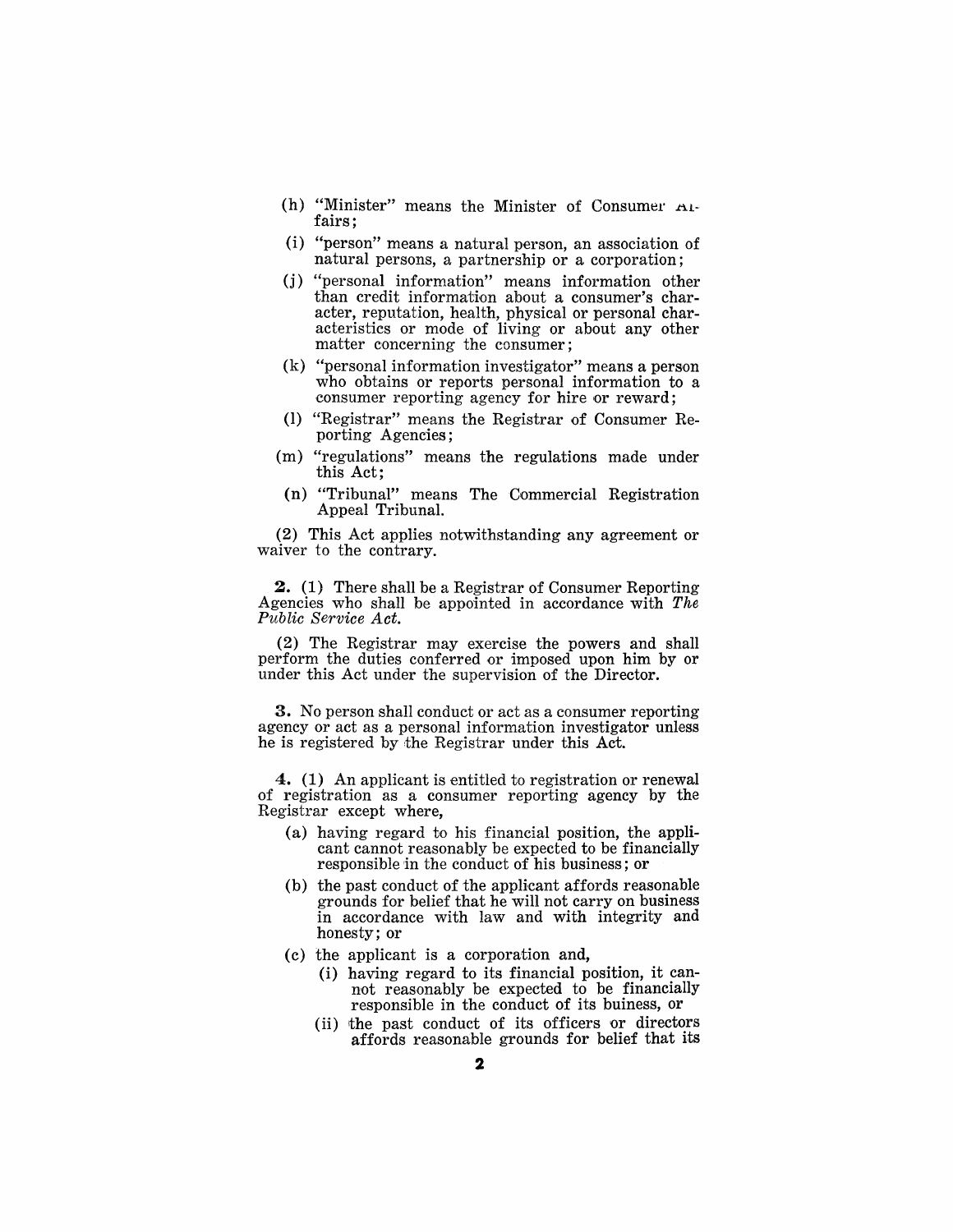- (h) "Minister" means the Minister of Consumer  $A_1$ fairs;
- (i) "person" means a natural person, an association of natural persons, a partnership or a corporation;
- (j) "personal information" means information other than credit information about a consumer's character, reputation, health, physical or personal characteristics or mode of living or about any other matter concerning the consumer;
- (k) "personal information investigator" means a person who obtains or reports personal information to a consumer reporting agency for hire or reward;
- (1) "Registrar" means the Registrar of Consumer Reporting Agencies;
- (m) "regulations" means the regulations made under this Act;
- (n) "Tribunal" means The Commercial Registration Appeal Tribunal.

(2) This Act applies notwithstanding any agreement or waiver to the contrary.

**2.** (1) There shall be a Registrar of Consumer Reporting Agencies who shall be appointed in accordance with *The Public Service Act.* 

(2) The Registrar may exercise the powers and shall perform the duties conferred or imposed upon him by or under this Act under the supervision of the Director.

**3.** No person shall conduct or act as a consumer reporting agency or act as a personal information investigator unless he is registered by the Registrar under this Act.

4. (1) An applicant is entitled to registration or renewal of registration as a consumer reporting agency by the Registrar except where,

- (a) having regard to his financial position, the applicant cannot reasonably be expected to be financially responsible in the conduct of his business; or
- (b) the past conduct of the applicant affords reasonable grounds for belief that he will not carryon business in accordance with law and with integrity and honesty; or
- (c) the applicant is a corporation and,
	- (i) having regard to its financial position, it cannot reasonably be expected to be financially responsible in the conduct of its buiness, or
	- (ii) the past conduct of its officers or directors affords reasonable grounds for belief that its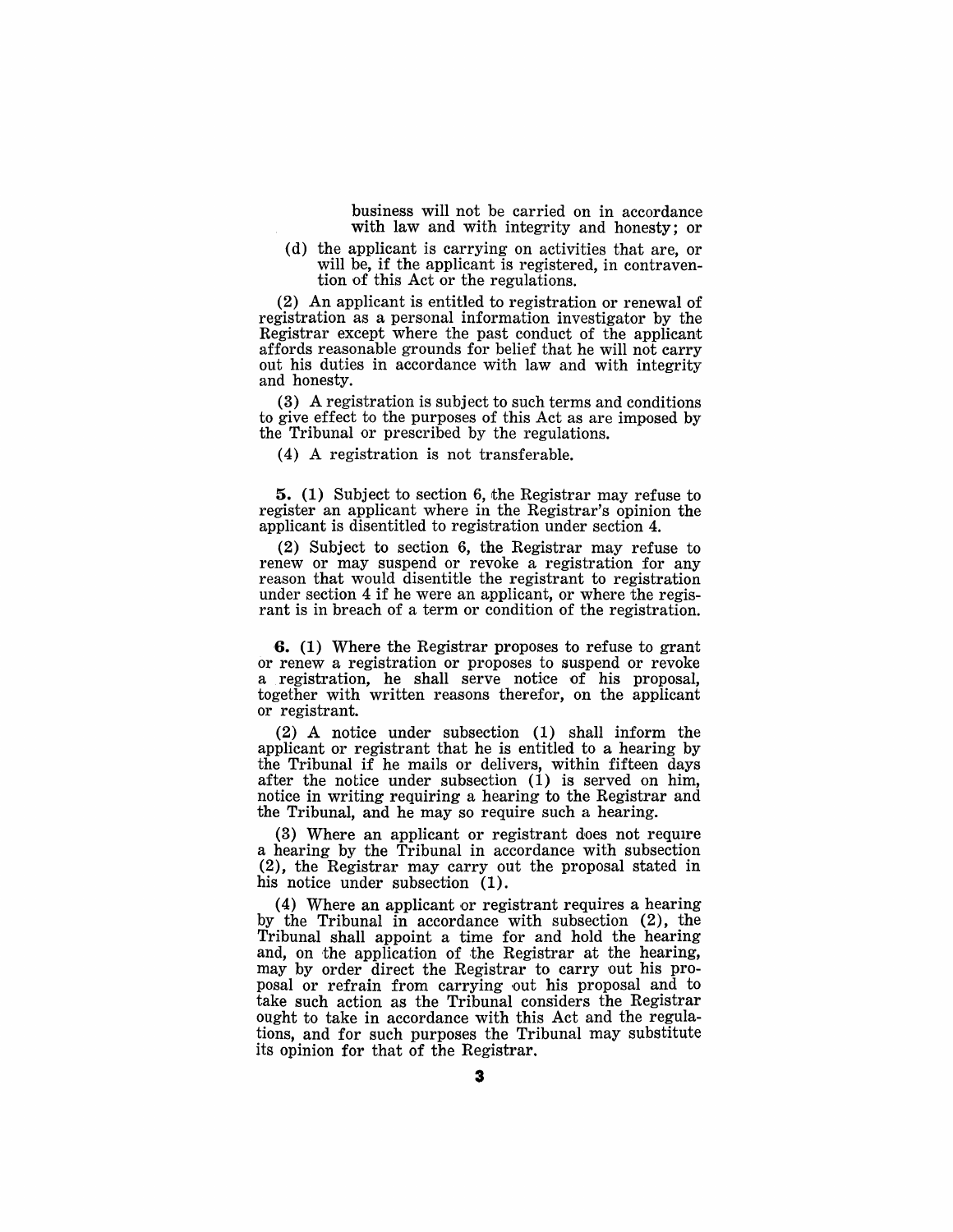business will not be carried on in accordance with law and with integrity and honesty; or

(d) the applicant is carrying on activities that are, or will be, if the applicant is registered, in contravention of this Act or the regulations.

(2) An applicant is entitled to registration or renewal of registration as a personal information investigator by the Registrar except where the past conduct of the applicant affords reasonable grounds for belief that he will not carry out his duties in accordance with law and with integrity and honesty.

(3) A registration is subject to such terms and conditions to give effect to the purposes of this Act as are imposed by the Tribunal or prescribed by the regulations.

(4) A registration is not transferable.

**5.** (1) Subject to section 6, the Registrar may refuse to register an applicant where in the Registrar's opinion the applicant is disentitled to registration under section 4.

(2) Subject to section 6, the Registrar may refuse to renew or may suspend or revoke a registration for any reason that would disentitle the registrant to registration under section 4 if he were an applicant, or where the regisrant is in breach of a term or condition of the registration.

**6.** (1) Where the Registrar proposes to refuse to grant or renew a registration or proposes to suspend or revoke a registration, he shall serve notice of his proposal, together with written reasons therefor, on the applicant or registrant.

(2) A notice under subsection (1) shall inform the applicant or registrant that he is entitled to a hearing by the Tribunal if he mails or delivers, within fifteen days after the notice under subsection  $(1)$  is served on him, notice in writing requiring a hearing to the Registrar and the Tribunal, and he may so require such a hearing.

(3) Where an applicant or registrant does not require a hearing by the Tribunal in accordance with subsection  $(2)$ , the Registrar may carry out the proposal stated in his notice under subsection  $(1)$ .

(4) Where an applicant or registrant requires a hearing by the Tribunal in accordance with subsection (2), the Tribunal shall appoint a time for and hold the hearing and, on the application of the Registrar at the hearing, may by order direct the Registrar to carry out his proposal or refrain from carrying out his proposal and to take such action as the Tribunal considers the Registrar ought to take in accordance with this Act and the regulations, and for such purposes the Tribunal may substitute its opinion for that of the Registrar.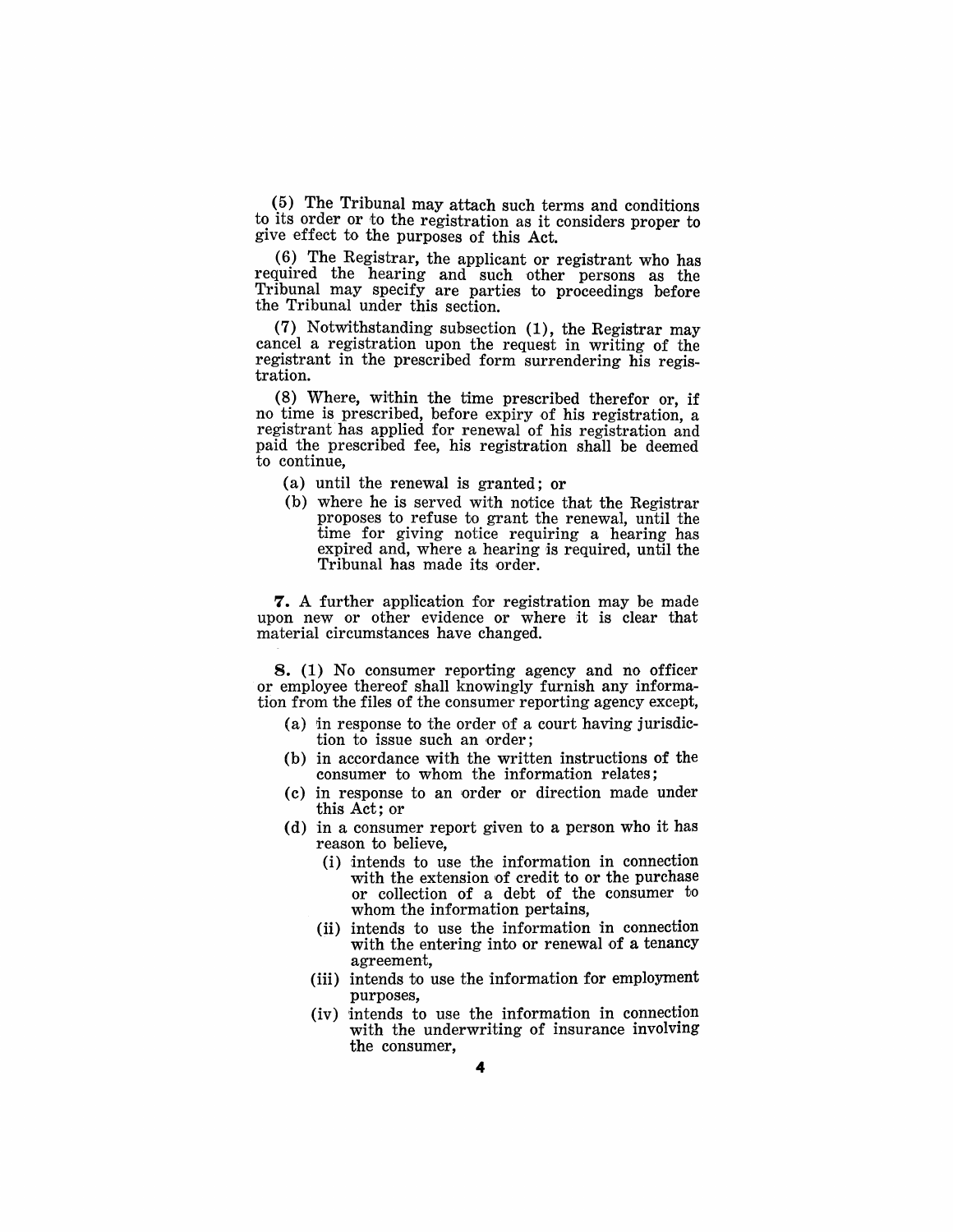(5) The Tribunal may attach such terms and conditions to its order or to the registration as it considers proper to give effect to the purposes of this Act.

 $(6)$  The Registrar, the applicant or registrant who has required the hearing and such other persons as the Tribunal may specify are parties to proceedings before the Tribunal under this section.

(7) Notwithstanding subsection (1), the Registrar may cancel a registration upon the request in writing of the registrant in the prescribed form surrendering his regis-<br>tration.

 $(8)$  Where, within the time prescribed therefor or, if no time is prescribed, before expiry of his registration, a registrant has applied for renewal of his registration and paid the prescribed fee, his registration shall be deemed to continue.

- (a) until the renewal is granted; or
- $(b)$  where he is served with notice that the Registrar proposes to refuse to grant the renewal, until the time for giving notice requiring a hearing has expired and, where a hearing is required, until the Tribunal has made its order.

7. A further application for registration may be made upon new or other evidence or where it is clear that material circumstances have changed.

8. (1) No consumer reporting agency and no officer or employee there of shall knowingly furnish any information from the files of the consumer reporting agency except,

- $(a)$  in response to the order of a court having jurisdiction to issue such an order;
- (b) in accordance with the written instructions of the consumer to whom the information relates;
- (c) in response to an order or direction made under this Act; or
- (d) in a consumer report given to a person who it has reason to believe.
	- (i) intends to use the information in connection with the extension of credit to or the purchase or collection of a debt of the consumer to whom the information pertains,
	- (ii) intends to use the information in connection with the entering into or renewal of a tenancy agreement,
	- (iii) intends to use the information for employment purposes.
	- (iv) intends to use the information in connection with the underwriting of insurance involving the consumer,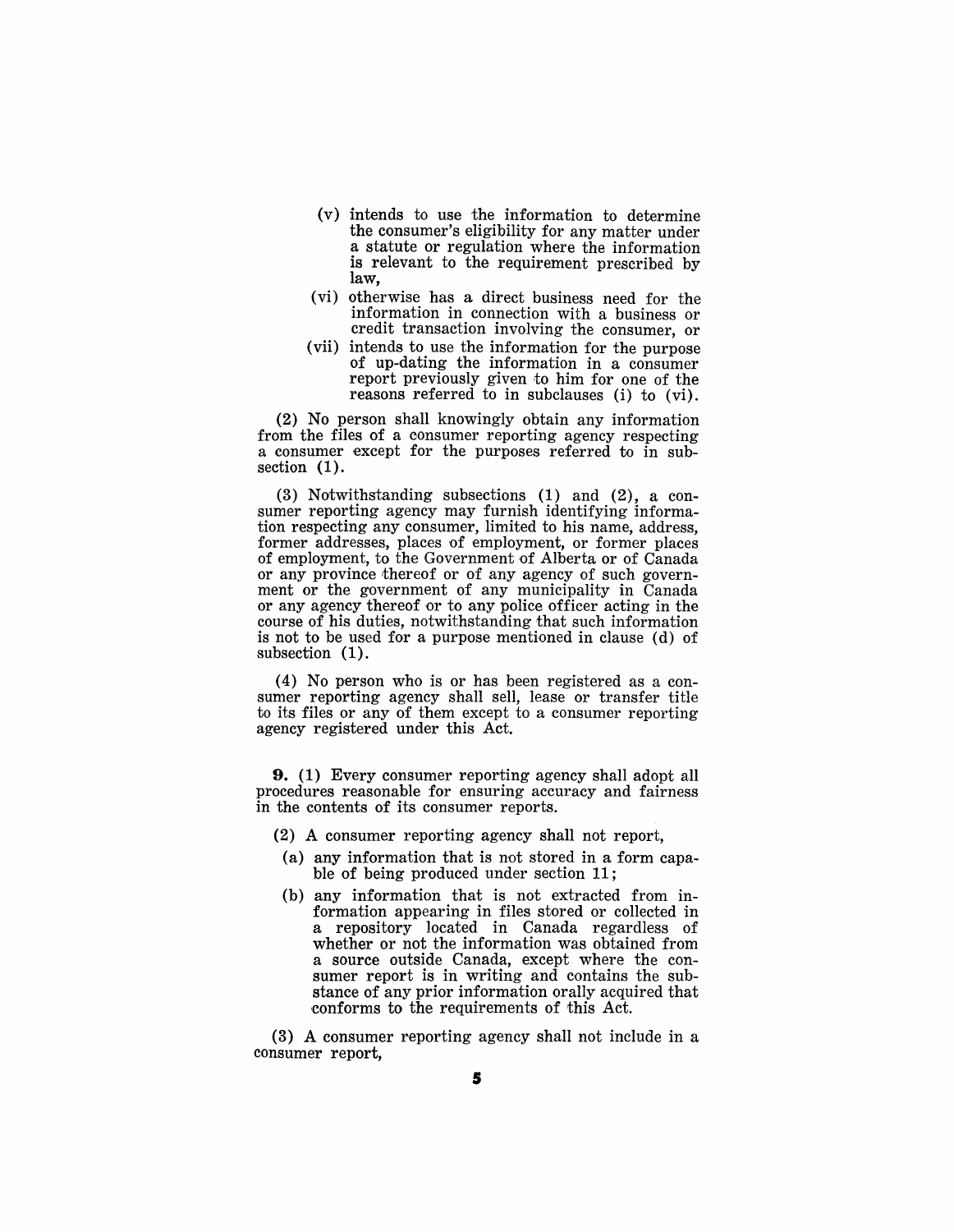- (v) intends to use the information to determine the consumer's eligibility for any matter under a statute or regulation where the information is relevant to the requirement prescribed by law,
- (vi) otherwise has a direct business need for the information in connection with a business or credit transaction involving the consumer, or
- (vii) intends to use the information for the purpose of up-dating the information in a consumer report previously given to him for one of the reasons referred to in subclauses (i) to  $(vi)$ .

(2) No person shall knowingly obtain any information from the files of a consumer reporting agency respecting a consumer except for the purposes referred to in subsection  $(1)$ .

(3) Notwithstanding subsections (1) and (2), a consumer reporting agency may furnish identifying information respecting any consumer, limited to his name, address, former addresses, places of employment, or former places of employment, to the Government of Alberta or of Canada or any province thereof or of any agency of such government or the government of any municipality in Canada or any agency thereof or to any police officer acting in the course of his duties, notwithstanding that such information is not to be used for a purpose mentioned in clause (d) of subsection (1).

(4) No person who is or has been registered as a consumer reporting agency shall sell, lease or transfer title to its files or any of them except to a consumer reporting agency registered under this Act.

**9.** (1) Every consumer reporting agency shall adopt all procedures reasonable for ensuring accuracy and fairness in the contents of its consumer reports.

- (2) A consumer reporting agency shall not report,
- (a) any information that is not stored in a form capable of being produced under section 11;
- (b) any information that is not extracted from information appearing in files stored or collected in a repository located in Canada regardless of whether or not the information was obtained from a source outside Canada, except where the consumer report is in writing and contains the substance of any prior information orally acquired that conforms to the requirements of this Act.

(3) A consumer reporting agency shall not include in a consumer report,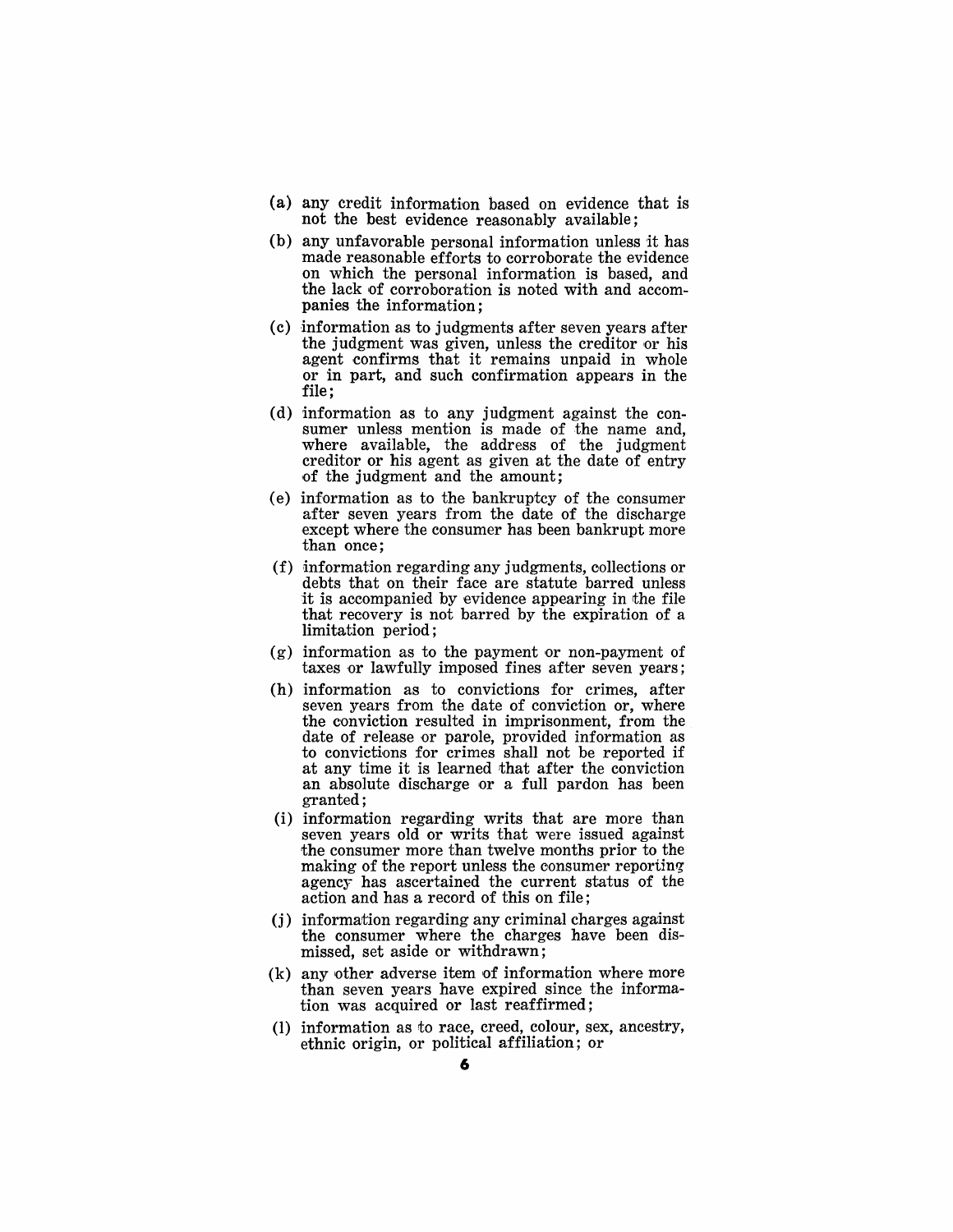- (a) any credit information based on evidence that is not the best evidence reasonably available;
- (b) any unfavorable personal information unless it has made reasonable efforts to corroborate the evidence on which the personal information is based, and the lack of corroboration is noted with and accompanies the information;
- (c) information as to judgments after seven years after the judgment was given, unless the creditor or his agent confirms that it remains unpaid in whole or in part, and such confirmation appears in the file;
- (d) information as to any judgment against the consumer unless mention is made of the name and, where available, the address of the judgment creditor or his agent as given at the date of entry of the judgment and the amount;
- (e) information as to the bankruptcy of the consumer after seven years from the date of the discharge except where the consumer has been bankrupt more than once;
- $(f)$  information regarding any judgments, collections or debts that on their face are statute barred unless it is accompanied by evidence appearing in the file that recovery is not barred by the expiration of a limitation period;
- (g) information as to the payment or non-payment of taxes or lawfully imposed fines after seven years;
- (h) information as to convictions for crimes, after seven years from the date of conviction or, where the conviction resulted in imprisonment, from the date of release or parole, provided information as to convictions for crimes shall not be reported if at any time it is learned that after the conviction an absolute discharge or a full pardon has been granted;
- (i) information regarding writs that are more than seven years old or writs that were issued against the consumer more than twelve months prior to the making of the report unless the consumer reporting agency has ascertained the current status of the action and has a record of this on file;
- (j) information regarding any criminal charges against the consumer where the charges have been dismissed, set aside or withdrawn;
- (k) any other adverse item of information where more than seven years have expired since the information was acquired or last reaffirmed;
- (1) information as to race, creed, colour, sex, ancestry, ethnic origin, or political affiliation; or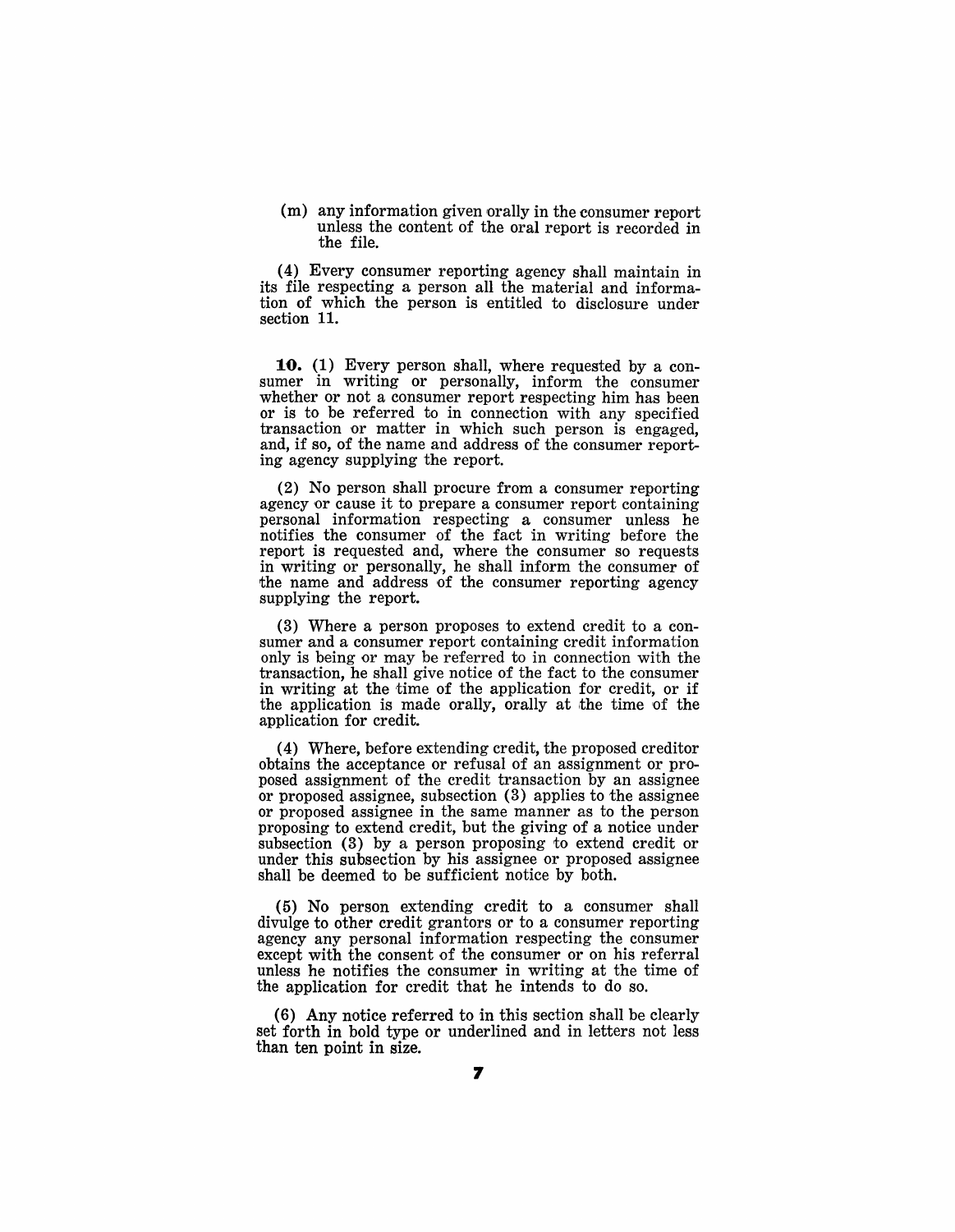(m) any information given orally in the consumer report unless the content of the oral report is recorded in the file.

(4) Every consumer reporting agency shall maintain in its file respecting a person all the material and information of which the person is entitled to disclosure under section 11.

**10.** (1) Every person shall, where requested by a consumer in writing or personally, inform the consumer whether or not a consumer report respecting him has been or is to be referred to in connection with any specified transaction or matter in which such person is engaged, and, if so, of the name and address of the consumer report- ing agency supplying the report.

(2) No person shall procure from a consumer reporting agency or cause it to prepare a consumer report containing personal information respecting a consumer unless he notifies the consumer of the fact in writing before the report is requested and, where the consumer so requests in writing or personally, he shall inform the consumer of the name and address of the consumer reporting agency supplying the report.

(3) Where a person proposes to extend credit to a consumer and a consumer report containing credit information only is being or may be referred to in connection with the transaction, he shall give notice of the fact to the consumer in writing at the time of the application for credit, or if the application is made orally, orally at the time of the application for credit.

(4) Where, before extending credit, the proposed creditor obtains the acceptance or refusal of an assignment or proposed assignment of the credit transaction by an assignee or proposed assignee, subsection (3) applies to the assignee or proposed assignee in the same manner as to the person proposing to extend credit, but the giving of a notice under subsection (3) by a person proposing to extend credit or under this subsection by his assignee or proposed assignee shall be deemed to be sufficient notice by both.

(5) No person extending credit to a consumer shall divulge to other credit grantors or to a consumer reporting agency any personal information respecting the consumer except with the consent of the consumer or on his referral unless he notifies the consumer in writing at the time of the application for credit that he intends to do so.

(6) Any notice referred to in this section shall be clearly set forth in bold type or underlined and in letters not less than ten point in size.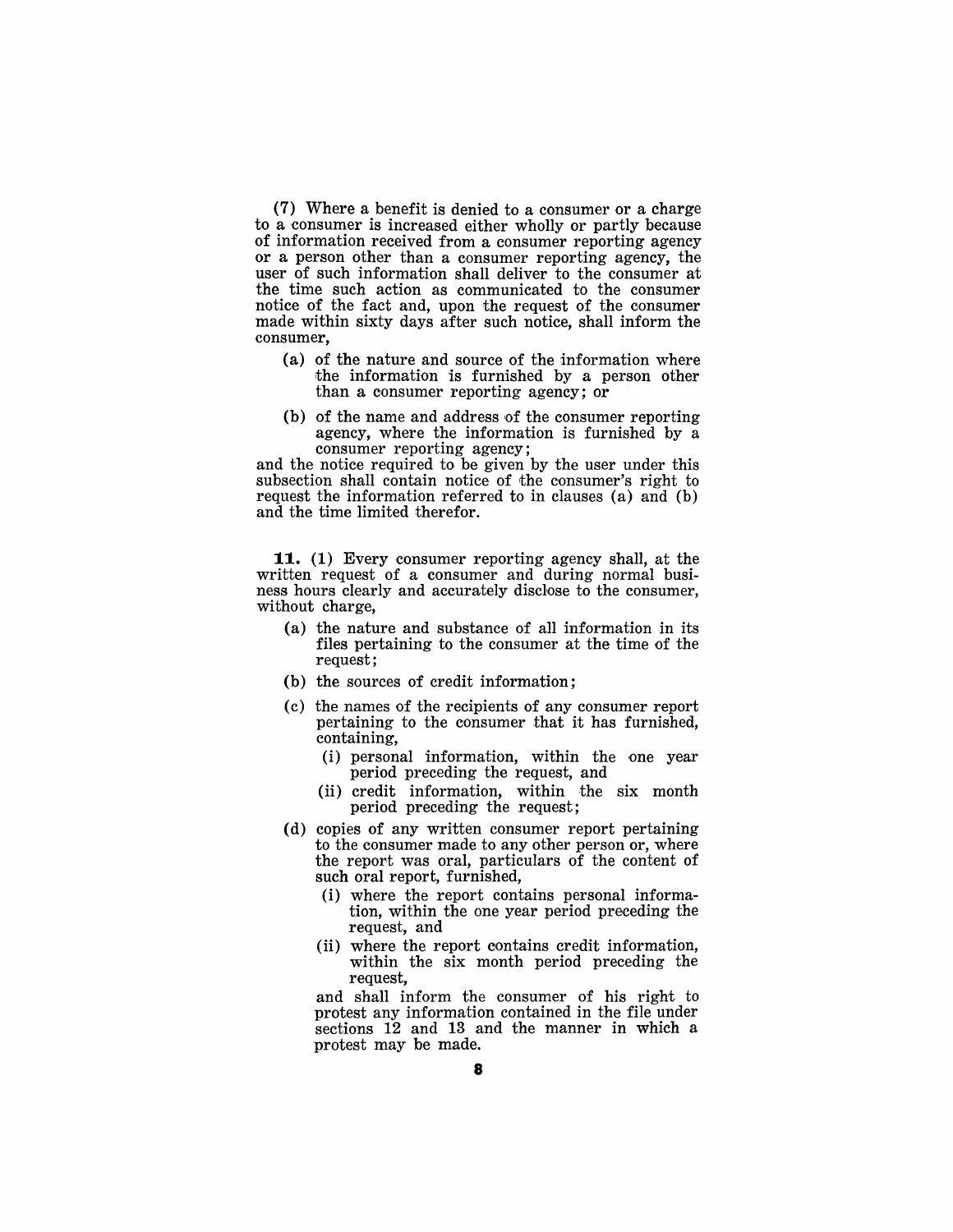(7) Where a benefit is denied to a consumer or a charge to a consumer is increased either wholly or partly because of information received from a consumer reporting agency or a person other than a consumer reporting agency, the user of such information shall deliver to the consumer at the time such action as communicated to the consumer notice of the fact and, upon the request of the consumer made within sixty days after such notice, shall inform the consumer,

- (a) of the nature and source of the information where the information is furnished by a person other than a consumer reporting agency; or
- (b) of the name and address of the consumer reporting agency, where the information is furnished by a consumer reporting agency;

and the notice required to be given by the user under this subsection shall contain notice of the consumer's right to request the information referred to in clauses (a) and (b) and the time limited therefor.

**11.** (1) Every consumer reporting agency shall, at the written request of a consumer and during normal business hours clearly and accurately disclose to the consumer, without charge,

- (a) the nature and substance of all information in its files pertaining to the consumer at the time of the request;
- (b) the sources of credit information;
- (c) the names of the recipients of any consumer report pertaining to the consumer that it has furnished, containing,
	- (i) personal information, within the one year period preceding the request, and
	- (ii) credit information, within the six month period preceding the request;
- (d) copies of any written consumer report pertaining to the consumer made to any other person or, where the report was oral, particulars of the content of such oral report, furnished,
	- (i) where the report contains personal information, within the one year period preceding the request, and
	- (ii) where the report contains credit information, within the six month period preceding the request,

and shall inform the consumer of his right to protest any information contained in the file under sections 12 and 13 and the manner in which a protest may be made.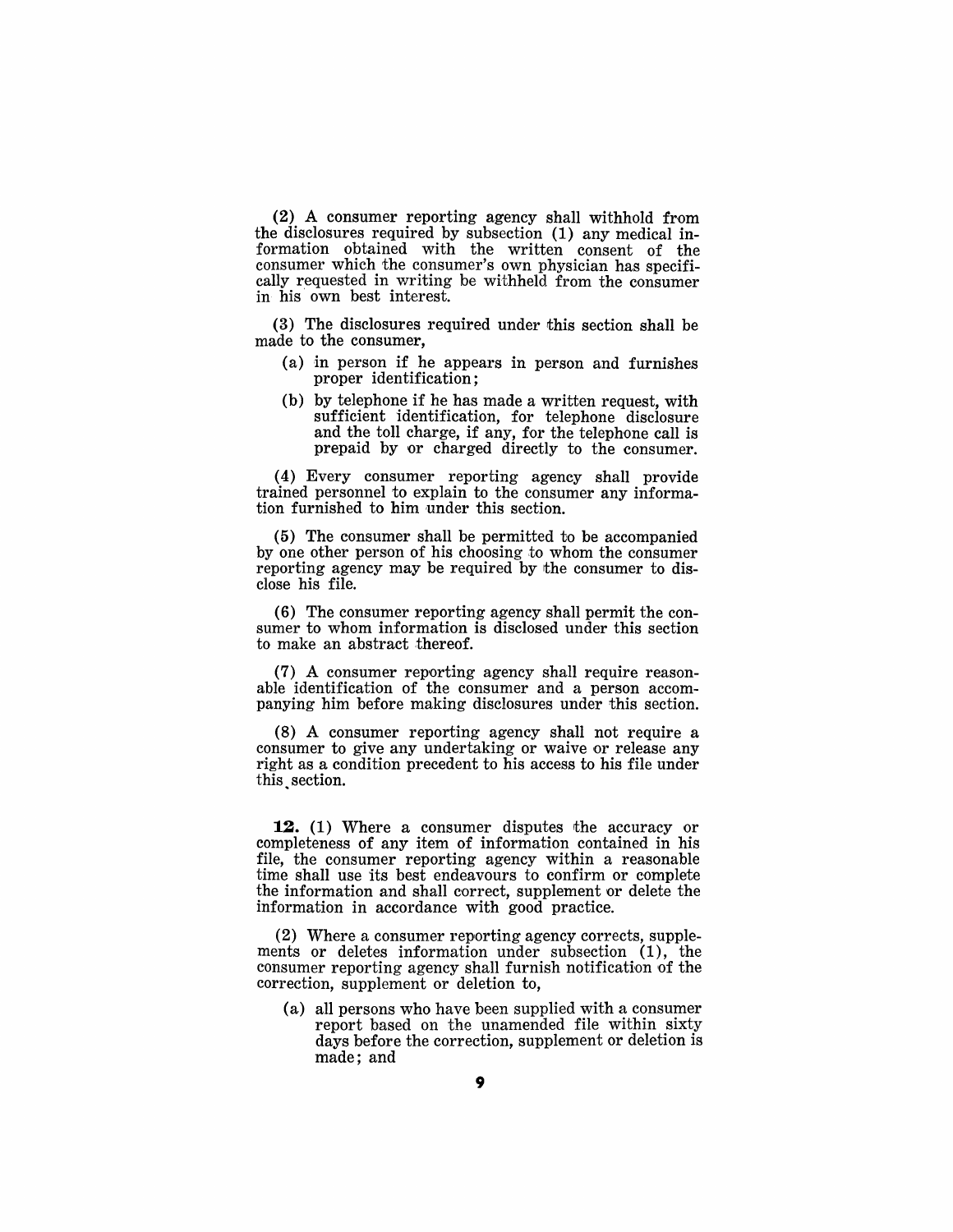(2) A consumer reporting agency shall withhold from the disclosures required by subsection (1) any medical information obtained with the written consent of the consumer which the consumer's own physician has specifically requested in writing be withheld from the consumer in his' own best interest.

(3) The disclosures required under this section shall be made to the consumer,

- (a) in person if he appears in person and furnishes proper identification;
- (b) by telephone if he has made a written request, with sufficient identification, for telephone disclosure and the toll charge, if any, for the telephone call is prepaid by or charged directly to the consumer.

(4) Every consumer reporting agency shall provide trained personnel to explain to the consumer any information furnished to him under this section.

(5) The consumer shall be permitted to be accompanied by one other person of his choosing to whom the consumer reporting agency may be required by the consumer to disclose his file.

(6) The consumer reporting agency shall permit the consumer to whom information is disclosed under this section to make an abstract thereof.

 $(7)$  A consumer reporting agency shall require reasonable identification of the consumer and a person accompanying him before making disclosures under this section.

(8) A consumer reporting agency shall not require a consumer to give any undertaking or waive or release any right as a condition precedent to his access to his file under this. section.

12. (1) Where a consumer disputes the accuracy or completeness of any item of information contained in his file, the consumer reporting agency within a reasonable time shall use its best endeavours to confirm or complete the information and shall correct, supplement or delete the information in accordance with good practice.

(2) Where a consumer reporting agency corrects, supplements or deletes information under subsection (1), the consumer reporting agency shall furnish notification of the correction, supplement or deletion to,

(a) all persons who have been supplied with a consumer report based on the unamended file within sixty days before the correction, supplement or deletion is made; and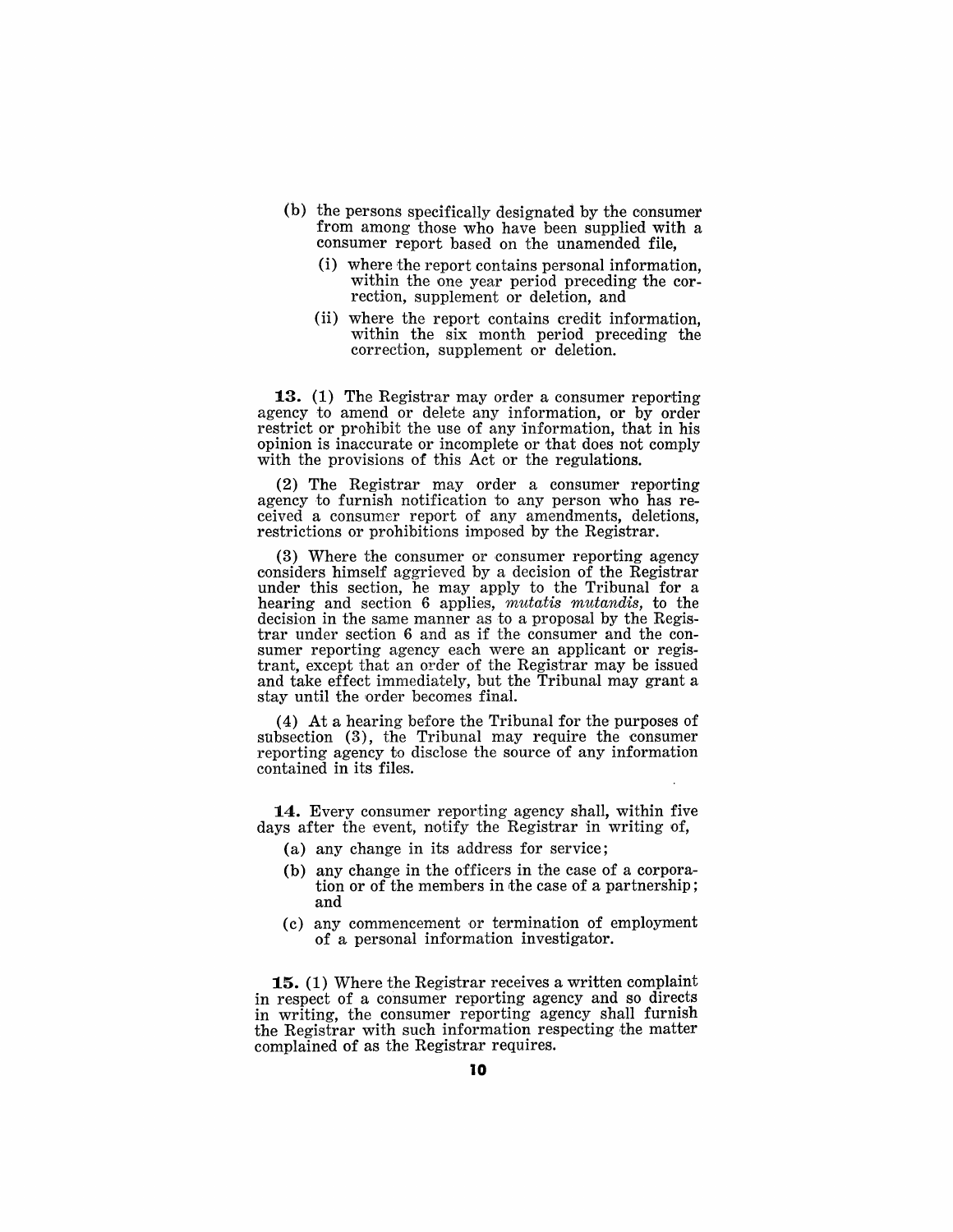- (b) the persons specifically designated by the consumer from among those who have been supplied with a consumer report based on the unamended file,
	- (i) where the report contains personal information, within the one year period preceding the correction, supplement or deletion, and
	- (ii) where the report contains credit information, within the six month period preceding the correction, supplement or deletion.

13. (1) The Registrar may order a consumer reporting agency to amend or delete any information, or by order restrict or prohibit the use of any information, that in his opinion is inaccurate or incomplete or that does not comply with the provisions of this Act or the regulations.

(2) The Registrar may order a consumer reporting agency to furnish notification to any person who has received a consumer report of any amendments, deletions, restrictions or prohibitions imposed by the Registrar.

 $(3)$  Where the consumer or consumer reporting agency considers himself aggrieved by a decision of the Registrar under this section, he may apply to the Tribunal for a hearing and section 6 applies, *mutatis mutandis*, to the decision in the same manner as to a proposal by the Registrar under section 6 and as if the consumer and the consumer reporting agency each were an applicant or registrant, except that an order of the Registrar may be issued and take effect imrnediately, but the Tribunal may grant a stay until the order becomes final.

(4) At a hearing before the Tribunal for the purposes of subsection (3), the Tribunal may require the consumer reporting agency to disclose the source of any information contained in its files.

14. Every consumer reporting agency shall, within five days after the event, notify the Registrar in writing of,

- (a) any change in its address for service;
- (b) any change in the officers in the case of a corporation or of the members in the case of a partnership; and
- (c) any commencement 'or termination of employment of a personal information investigator.

**15.** (1) Where the Registrar receives a written complaint in respect of a consumer reporting agency and so directs in writing, the consumer reporting agency shall furnish the Registrar with such information respecting the matter complained of as the Registrar requires.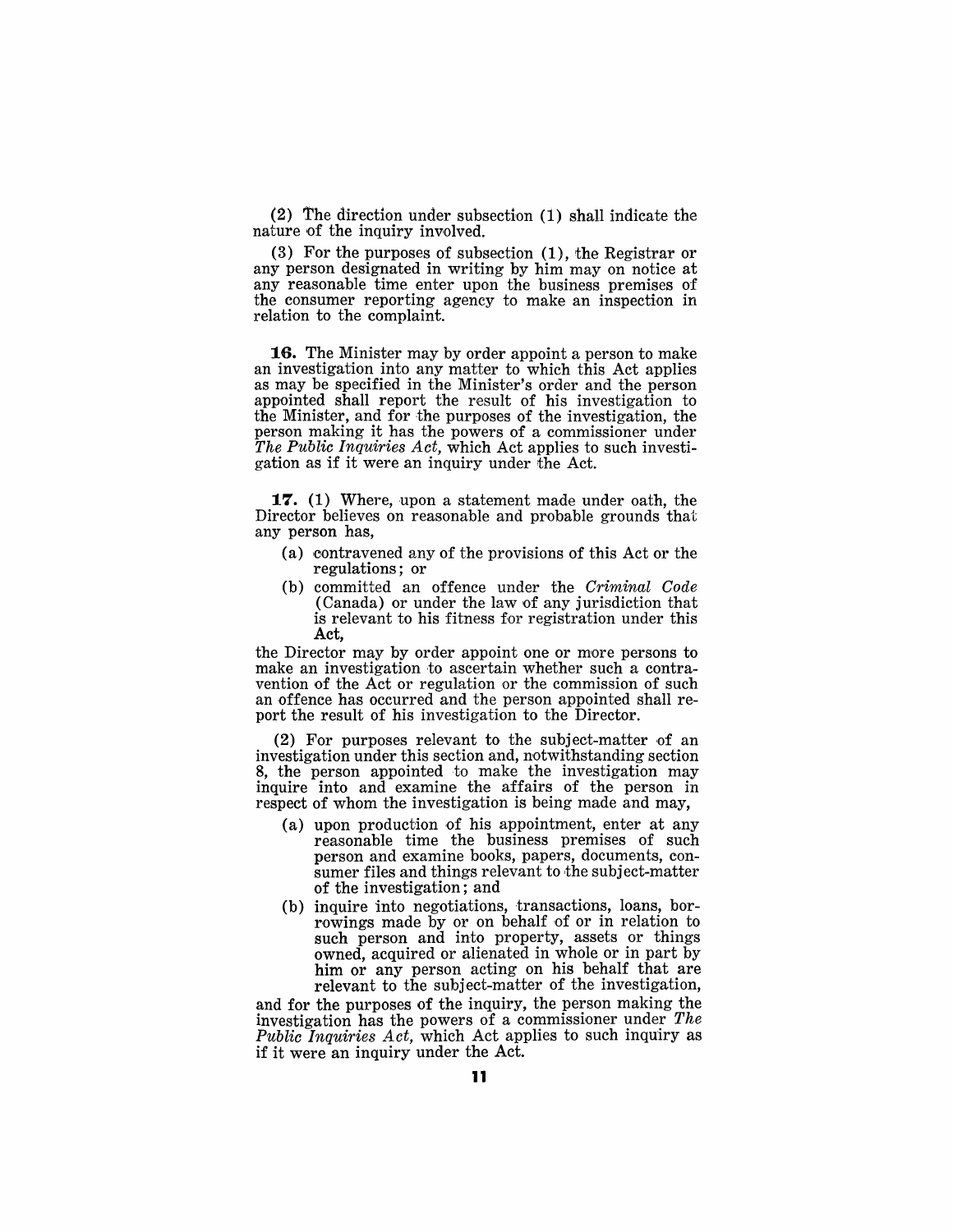(2) The direction under subsection (1) shall indicate the nature of the inquiry involved.

(3) For the purposes of subsection  $(1)$ , the Registrar or any person designated in writing by him may on notice at any reasonable time enter upon the business premises of the consumer reporting agency to make an inspection in relation to the complaint.

**16.** The Minister may by order appoint a person to make an investigation into any matter to which this Act applies as may be specified in the Minister's order and the person appointed shall report the result of his investigation to the Minister, and for the purposes of the investigation, the person making it has the powers of a commissioner under *The Public Inquiries Act,* which Act applies to such investigation as if it were an inquiry under the Act.

**17.** (1) Where, upon a statement made under oath, the Director believes on reasonable and probable grounds that any person has,

- (a) contravened any of the provisions of this Act or the regulations; or
- (b) committed an offence under the *Criminal Code*  (Canada) or under the law of any jurisdiction that is relevant to his fitness for registration under this Act,

the Director may by order appoint one or more persons to make an investigation to ascertain whether such a contravention of the Act or regulation or the commission of such an offence has occurred and the person appointed shall report the result of his investigation to the Director.

(2) For purposes relevant to the subject-matter of an investigation under this section and, notwithstanding section 8, the person appointed to make the investigation may inquire into and examine the affairs of the person in respect of whom the investigation is being made and may,

- (a) upon production of his appointment, enter at any reasonable time the business premises of such person and examine books, papers, documents, consumer files and things relevant to the subject-matter of the investigation; and
- (b) inquire into negotiations, transactions, loans, borrowings made by or on behalf of or in relation to such person and into property, assets or things owned, acquired or alienated in whole or in part by him or any person acting on his behalf that are relevant to the subject-matter of the investigation,

and for the purposes of the inquiry, the person making the investigation has the powers of a commissioner under *The Public Inquiries Act*, which Act applies to such inquiry as if it were an inquiry under the Act.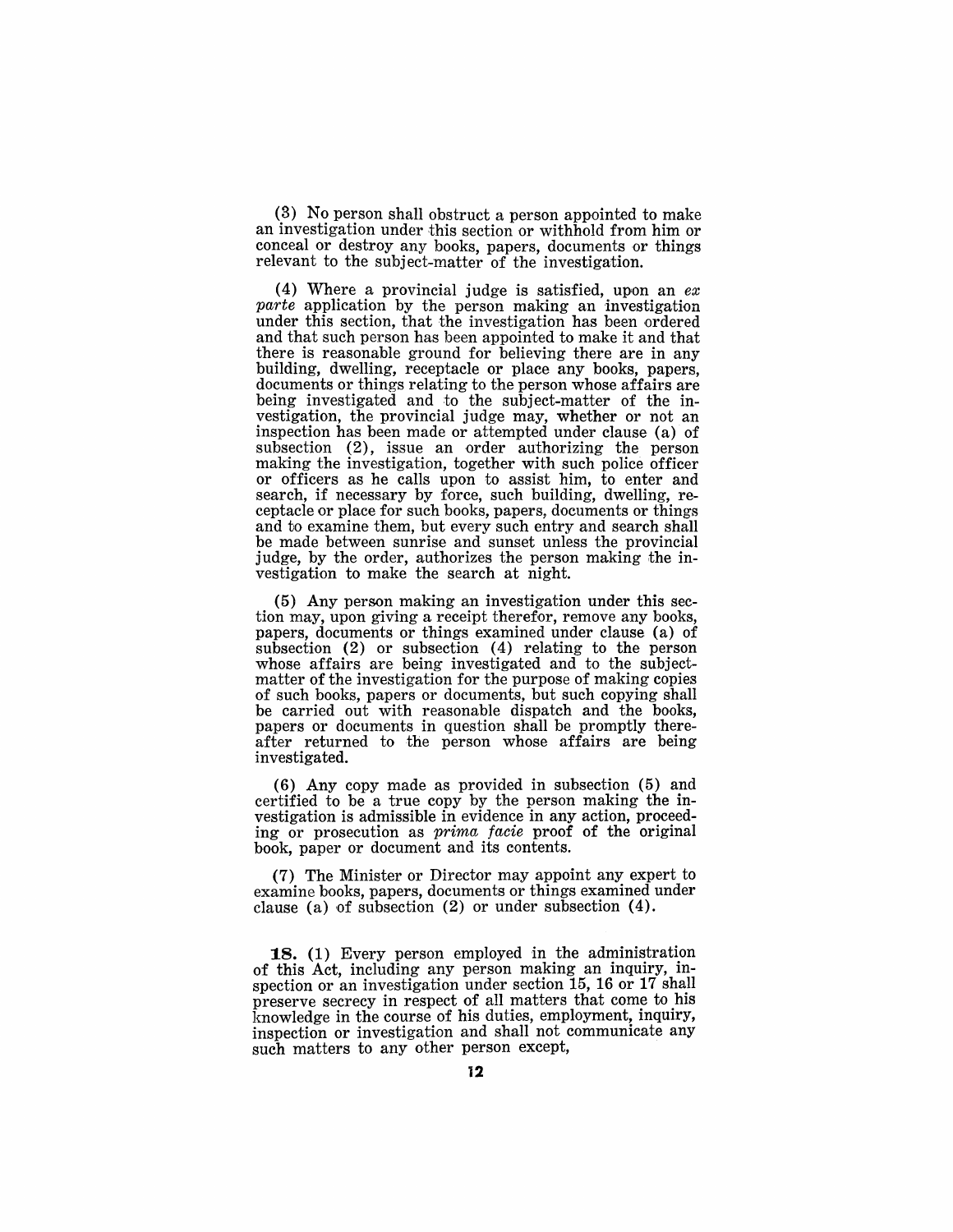(3) No person shall obstruct a person appointed to make an investigation under this section or withhold from him or conceal or destroy any books, papers, documents or things relevant to the subject-matter of the investigation.

(4) Where a provincial judge is satisfied, upon an *ex*  parte application by the person making an investigation under this section, that the investigation has been ordered and that such person has been appointed to make it and that there is reasonable ground for believing there are in any building, dwelling, receptacle or place any books, papers, documents or things relating to the person whose affairs are being investigated and to the subject-matter of the investigation, the provincial judge may, whether or not an inspection has been made or attempted under clause (a) of subsection (2), issue an order authorizing the person making the investigation, together with such police officer or officers as he calls upon to assist him, to enter and search, if necessary by force, such building, dwelling, re- 'ceptacle or place for such books, papers, documents or things and to examine them, but every such entry and search shall be made between sunrise and sunset unless the provincial judge, by the order, authorizes the person making the investigation to make the search at night.

(5) Any person making an investigation under this section may, upon giving a receipt therefor, remove any books, papers, documents or things examined under clause (a) of subsection (2) or subsection (4) relating to the person whose affairs are being investigated and to the subjectmatter of the investigation for the purpose of making copies of such books, papers or documents, but such copying shall be carried out with reasonable dispatch and the books, papers or documents in question shall be promptly thereafter returned to the person whose affairs are being investigated.

(6) Any copy made as provided in subsection (5) and certified to be a true copy by the person making the investigation is admissible in evidence in any action, proceeding or prosecution as prima facie proof of the original book, paper or document and its contents.

(7) The Minister or Director may appoint any expert to examine books, papers, documents or things examined under clause (a) of subsection (2) or under subsection (4).

18. (1) Every person employed in the administration of this Act, including any person making an inquiry, inspection or an investigation under section 15, 16 or 17 shall preserve secrecy in respect of all matters that come to his knowledge in the eourse of his duties, employment, inquiry, inspection or investigation and shall not communicate any such matters to any other person except,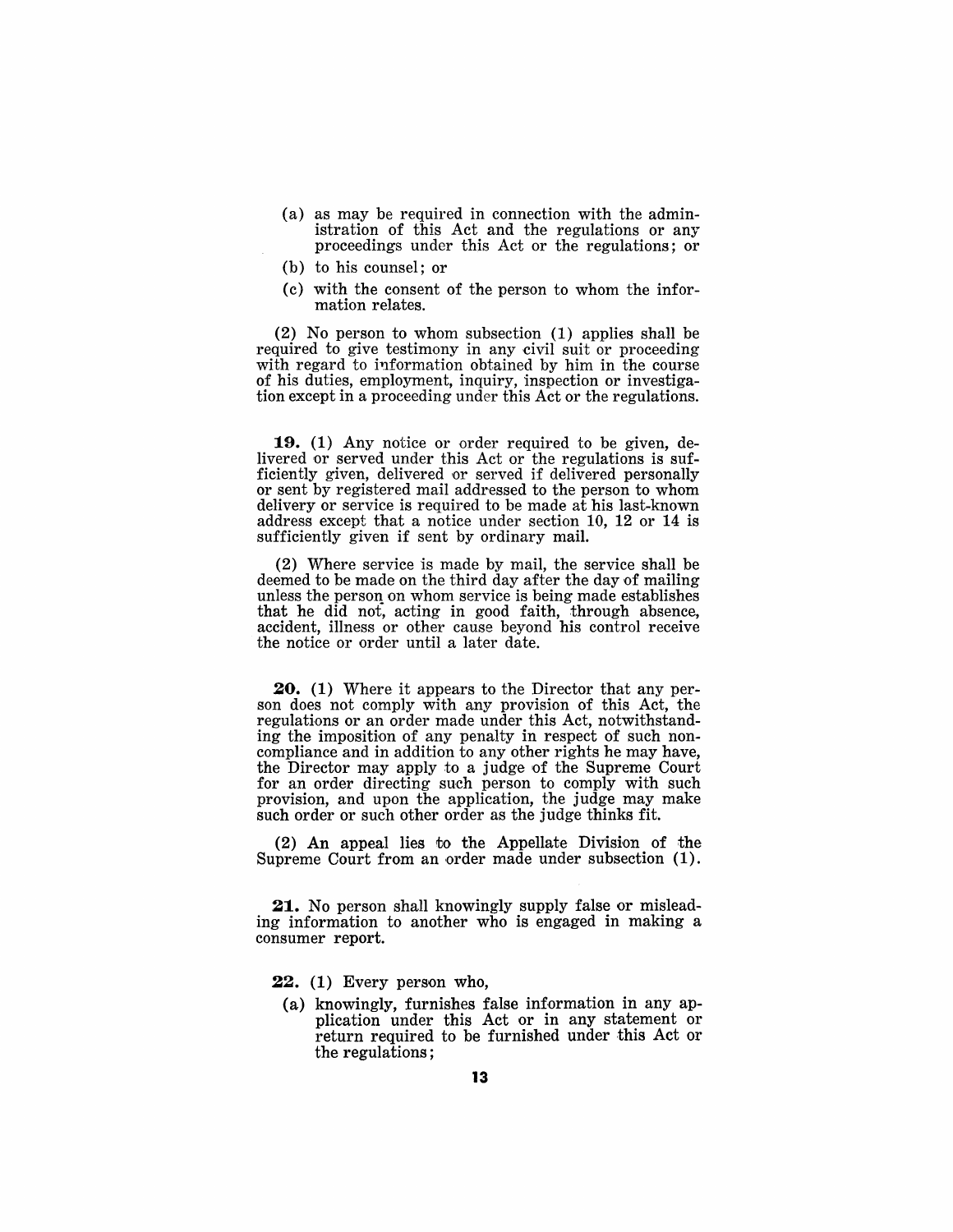- (a) as may be required in connection with the administration of this Act and the regulations or any proceedings under this Act or the regulations; or
- (b) to his counsel; or
- (c) with the consent of the person to whom the information relates.

(2) No person to whom subsection (1) applies shall be required to give testimony in any civil suit or proceeding with regard to information obtained by him in the course of his duties, employment, inquiry, inspection or investigation except in a proceeding under this Act or the regulations.

19. (1) Any notice or order required to be given, delivered or served under this Act or the regulations is sufficiently given, delivered or served if delivered personally or sent by registered mail addressed to the person to whom delivery or service is required to be made at his last-known address except that a notice under section 10, 12 or 14 is sufficiently given if sent by ordinary mail.

(2) Where service is made by mail, the service shall be deemed to be made on the third day after the day of mailing unless the person on whom service is being made establishes that he did not, acting in good faith, through absence, accident, illness or other cause beyond his control receive the notice or order until a later date.

**20.** (1) Where it appears to the Director that any person does not comply with any provision of this Act, the regulations or an order made under this Act, notwithstanding the imposition of any penalty in respect of such noncompliance and in addition to any other rights he may have, the Director may apply to a judge of the Supreme Court for an order directing such person to comply with such provision, and upon the application, the judge may make such order or such other order as the judge thinks fit.

(2) An appeal lies vo the Appellate Division of the Supreme Court from an order made under subsection (1).

21. No person shall knowingly supply false or misleading information to another who is engaged in making a consumer report.

- 22. (1) Every person who,
	- (a) knowingly, furnishes false information in any application under this Act or in any statement or return required to be furnished under this Act or the regulations;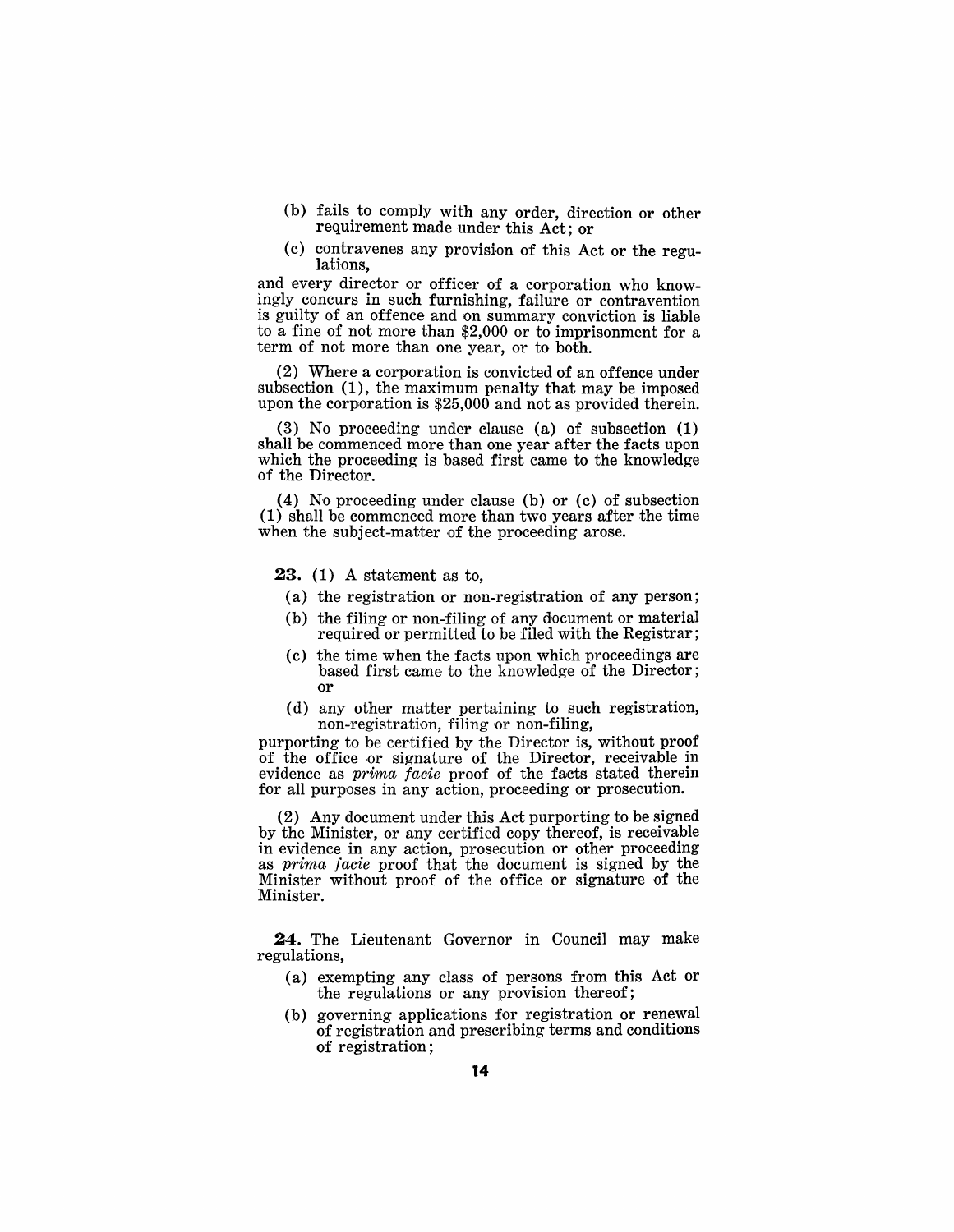- (b) fails to comply with any order, direction or other requirement made under this Act; or
- (c) contravenes any provision of this Act or the regulations,

and every director or officer of a corporation who knowingly concurs in such furnishing, failure or contravention is guilty of an offence and on summary conviction is liable to a fine of not more than  $$2,000$  or to imprisonment for a term of not more than one year, or to both.

 $(2)$  Where a corporation is convicted of an offence under subsection  $(1)$ , the maximum penalty that may be imposed upon the corporation is  $$25,000$  and not as provided therein.

(3) No proceeding under clause (a) of subsection  $(1)$ shall be commenced more than one year after the facts upon which the proceeding is based first came to the knowledge of the Director.

(4) No proceeding under clause (b) or (c) of subsection  $(1)$  shall be commenced more than two years after the time when the subject-matter of the proceeding arose.

**23.** (1) A statement as to,

- (a) the registration or non-registration of any person;
- $(b)$  the filing or non-filing of any document or material required or permitted to be filed with the Registrar;
- $(c)$  the time when the facts upon which proceedings are based first came to the knowledge of the Director; 'Or
- $(d)$  any other matter pertaining to such registration, non-registration, filing or non-filing,

purporting to be certified by the Director is, without proof of the office or signature of the Director, receivable in evidence as *prima facie* proof of the facts stated therein for all purposes in any action, proceeding or prosecution.

 $(2)$  Any document under this Act purporting to be signed by the Minister, or any certified copy thereof, is receivable in evidence in any action, prosecution or other proceeding as prima facie proof that the document is signed by the Minister without proof of the office or signature of the Minister.

**24.** The Lieutenant Governor in Council may make regulations,

- $(a)$  exempting any class of persons from this Act or the regulations or any provision thereof;
- (b) governing applications for registration or renewal of registration and prescribing terms and conditions of registration;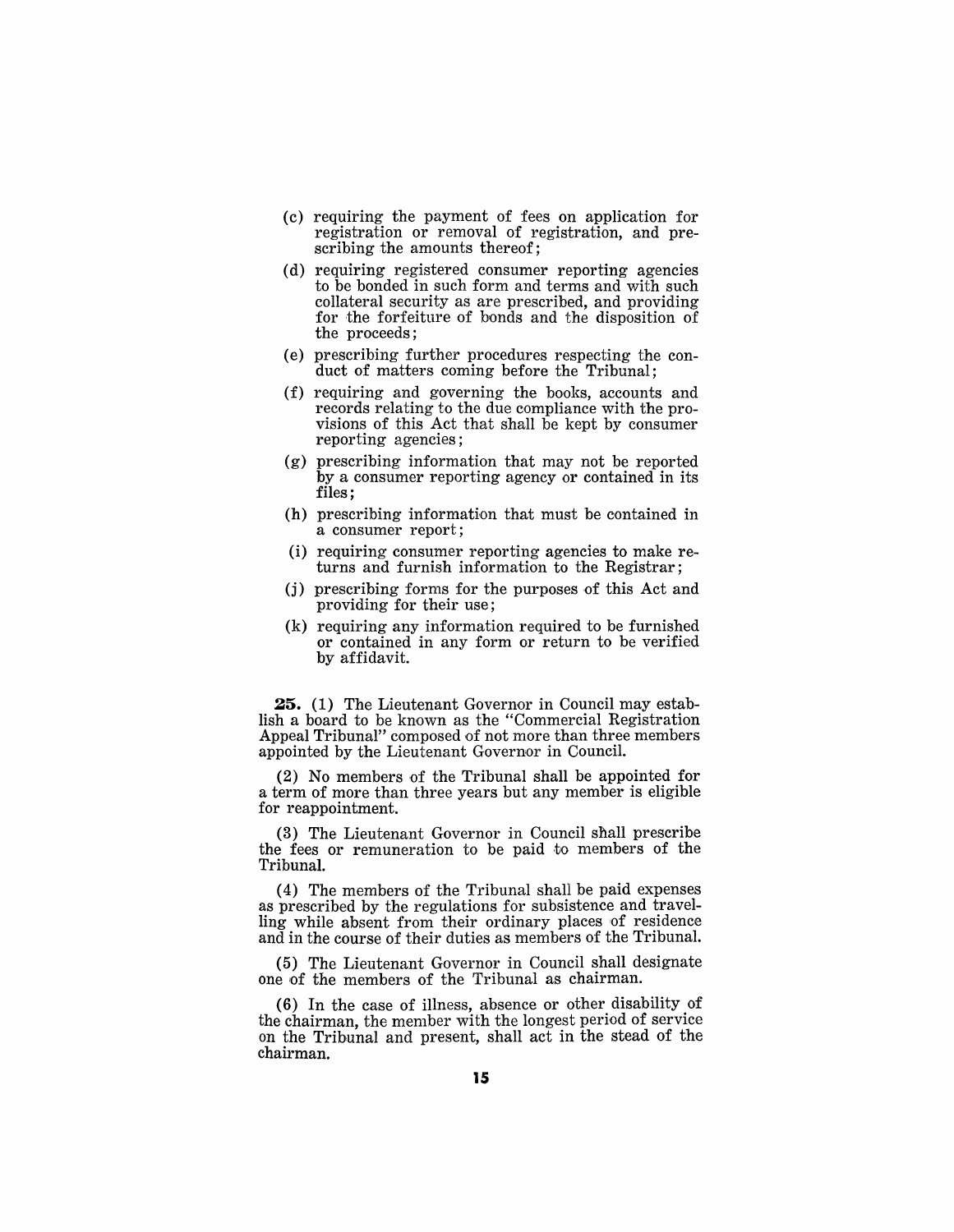- (c) requIrIng the payment of fees on application for registration or removal of registration, and prescribing the amounts thereof;
- (d) requiring registered consumer reporting agencies to be bonded in such form and terms and with such collateral security as are prescribed, and providing for the forfeiture of bonds and the disposition of the proceeds;
- (e) prescribing further procedures respecting the conduct of matters coming before the Tribunal;
- (f) requiring and governing the books, accounts and records relating to the due compliance with the provisions of this Act that shall be kept by consumer reporting agencies;
- (g) prescribing information that may not be reported by a consumer reporting agency or contained in its files;
- (h) prescribing information that must be contained in a consumer report;
- (i) requiring consumer reporting agencies to make returns and furnish information to the Registrar;
- (j) prescribing forms for the purposes of this Act and providing for their use;
- (k) requiring any information required to be furnished or contained in any form or return to be verified by affidavit.

**25.** (1) The Lieutenant Governor in Council may establish a board to be known as the "Commercial Registration Appeal Tribunal" composed of not more than three members appointed by the Lieutenant Governor in Council.

(2) No members of the Tribunal shall be appointed for a term of more than three years but any member is eligible for reappointment.

(3) The Lieutenant Governor in Council shall prescribe the fees or remuneration to be paid to members of the Tribunal.

(4) The members of the Tribunal shall be paid expenses as prescribed by the regulations for subsistence and travelling while absent from their ordinary places of residence and in the course of their duties as members of the Tribunal.

(5) The Lieutenant Governor in Council shall designate one of the members of the Tribunal as chairman.

(6) In the case of illness, absence or other disability of the chairman, the menlber with the longest period of service on the Tribunal and present, shall act in the stead of the chairman.